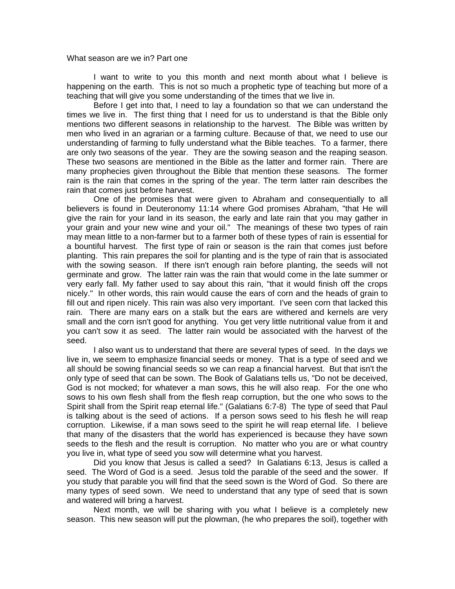## What season are we in? Part one

I want to write to you this month and next month about what I believe is happening on the earth. This is not so much a prophetic type of teaching but more of a teaching that will give you some understanding of the times that we live in.

 Before I get into that, I need to lay a foundation so that we can understand the times we live in. The first thing that I need for us to understand is that the Bible only mentions two different seasons in relationship to the harvest. The Bible was written by men who lived in an agrarian or a farming culture. Because of that, we need to use our understanding of farming to fully understand what the Bible teaches. To a farmer, there are only two seasons of the year. They are the sowing season and the reaping season. These two seasons are mentioned in the Bible as the latter and former rain. There are many prophecies given throughout the Bible that mention these seasons. The former rain is the rain that comes in the spring of the year. The term latter rain describes the rain that comes just before harvest.

 One of the promises that were given to Abraham and consequentially to all believers is found in Deuteronomy 11:14 where God promises Abraham, "that He will give the rain for your land in its season, the early and late rain that you may gather in your grain and your new wine and your oil." The meanings of these two types of rain may mean little to a non-farmer but to a farmer both of these types of rain is essential for a bountiful harvest. The first type of rain or season is the rain that comes just before planting. This rain prepares the soil for planting and is the type of rain that is associated with the sowing season. If there isn't enough rain before planting, the seeds will not germinate and grow. The latter rain was the rain that would come in the late summer or very early fall. My father used to say about this rain, "that it would finish off the crops nicely." In other words, this rain would cause the ears of corn and the heads of grain to fill out and ripen nicely. This rain was also very important. I've seen corn that lacked this rain. There are many ears on a stalk but the ears are withered and kernels are very small and the corn isn't good for anything. You get very little nutritional value from it and you can't sow it as seed. The latter rain would be associated with the harvest of the seed.

I also want us to understand that there are several types of seed. In the days we live in, we seem to emphasize financial seeds or money. That is a type of seed and we all should be sowing financial seeds so we can reap a financial harvest. But that isn't the only type of seed that can be sown. The Book of Galatians tells us, "Do not be deceived, God is not mocked; for whatever a man sows, this he will also reap. For the one who sows to his own flesh shall from the flesh reap corruption, but the one who sows to the Spirit shall from the Spirit reap eternal life." (Galatians 6:7-8) The type of seed that Paul is talking about is the seed of actions. If a person sows seed to his flesh he will reap corruption. Likewise, if a man sows seed to the spirit he will reap eternal life. I believe that many of the disasters that the world has experienced is because they have sown seeds to the flesh and the result is corruption. No matter who you are or what country you live in, what type of seed you sow will determine what you harvest.

 Did you know that Jesus is called a seed? In Galatians 6:13, Jesus is called a seed. The Word of God is a seed. Jesus told the parable of the seed and the sower. If you study that parable you will find that the seed sown is the Word of God. So there are many types of seed sown. We need to understand that any type of seed that is sown and watered will bring a harvest.

Next month, we will be sharing with you what I believe is a completely new season. This new season will put the plowman, (he who prepares the soil), together with